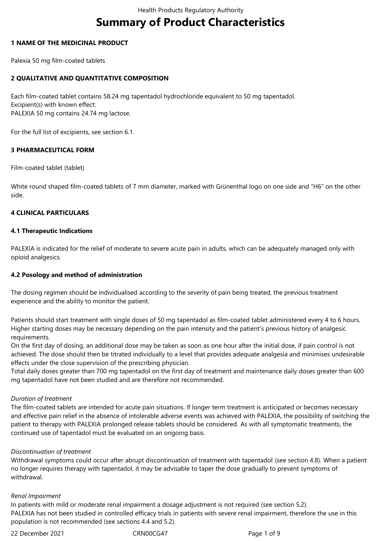# **Summary of Product Characteristics**

### **1 NAME OF THE MEDICINAL PRODUCT**

Palexia 50 mg film-coated tablets

### **2 QUALITATIVE AND QUANTITATIVE COMPOSITION**

Each film-coated tablet contains 58.24 mg tapentadol hydrochloride equivalent to 50 mg tapentadol. Excipient(s) with known effect: PALEXIA 50 mg contains 24.74 mg lactose.

For the full list of excipients, see section 6.1.

### **3 PHARMACEUTICAL FORM**

Film-coated tablet (tablet)

White round shaped film-coated tablets of 7 mm diameter, marked with Grünenthal logo on one side and "H6" on the other side.

### **4 CLINICAL PARTICULARS**

### **4.1 Therapeutic Indications**

PALEXIA is indicated for the relief of moderate to severe acute pain in adults, which can be adequately managed only with opioid analgesics.

### **4.2 Posology and method of administration**

The dosing regimen should be individualised according to the severity of pain being treated, the previous treatment experience and the ability to monitor the patient.

Patients should start treatment with single doses of 50 mg tapentadol as film-coated tablet administered every 4 to 6 hours. Higher starting doses may be necessary depending on the pain intensity and the patient's previous history of analgesic requirements.

On the first day of dosing, an additional dose may be taken as soon as one hour after the initial dose, if pain control is not achieved. The dose should then be titrated individually to a level that provides adequate analgesia and minimises undesirable effects under the close supervision of the prescribing physician.

Total daily doses greater than 700 mg tapentadol on the first day of treatment and maintenance daily doses greater than 600 mg tapentadol have not been studied and are therefore not recommended.

### *Duration of treatment*

The film-coated tablets are intended for acute pain situations. If longer term treatment is anticipated or becomes necessary and effective pain relief in the absence of intolerable adverse events was achieved with PALEXIA, the possibility of switching the patient to therapy with PALEXIA prolonged release tablets should be considered. As with all symptomatic treatments, the continued use of tapentadol must be evaluated on an ongoing basis.

### *Discontinuation of treatment*

Withdrawal symptoms could occur after abrupt discontinuation of treatment with tapentadol (see section 4.8)*.* When a patient no longer requires therapy with tapentadol, it may be advisable to taper the dose gradually to prevent symptoms of withdrawal.

### *Renal Impairment*

In patients with mild or moderate renal impairment a dosage adjustment is not required (see section 5.2). PALEXIA has not been studied in controlled efficacy trials in patients with severe renal impairment, therefore the use in this population is not recommended (see sections 4.4 and 5.2).

22 December 2021 CRN00CG47 Page 1 of 9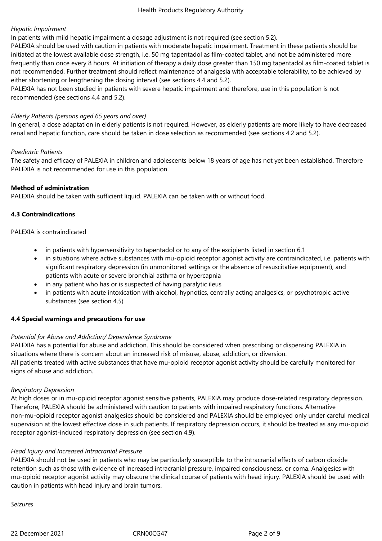# *Hepatic Impairment*

In patients with mild hepatic impairment a dosage adjustment is not required (see section 5.2).

PALEXIA should be used with caution in patients with moderate hepatic impairment. Treatment in these patients should be initiated at the lowest available dose strength, i.e. 50 mg tapentadol as film-coated tablet, and not be administered more frequently than once every 8 hours. At initiation of therapy a daily dose greater than 150 mg tapentadol as film-coated tablet is not recommended. Further treatment should reflect maintenance of analgesia with acceptable tolerability, to be achieved by either shortening or lengthening the dosing interval (see sections 4.4 and 5.2).

PALEXIA has not been studied in patients with severe hepatic impairment and therefore, use in this population is not recommended (see sections 4.4 and 5.2).

### *Elderly Patients (persons aged 65 years and over)*

In general, a dose adaptation in elderly patients is not required. However, as elderly patients are more likely to have decreased renal and hepatic function, care should be taken in dose selection as recommended (see sections 4.2 and 5.2).

#### *Paediatric Patients*

The safety and efficacy of PALEXIA in children and adolescents below 18 years of age has not yet been established. Therefore PALEXIA is not recommended for use in this population.

### **Method of administration**

PALEXIA should be taken with sufficient liquid. PALEXIA can be taken with or without food.

### **4.3 Contraindications**

PALEXIA is contraindicated

- in patients with hypersensitivity to tapentadol or to any of the excipients listed in section 6.1
- in situations where active substances with mu-opioid receptor agonist activity are contraindicated, i.e. patients with significant respiratory depression (in unmonitored settings or the absence of resuscitative equipment), and patients with acute or severe bronchial asthma or hypercapnia
- in any patient who has or is suspected of having paralytic ileus
- in patients with acute intoxication with alcohol, hypnotics, centrally acting analgesics, or psychotropic active substances (see section 4.5)

### **4.4 Special warnings and precautions for use**

### *Potential for Abuse and Addiction/ Dependence Syndrome*

PALEXIA has a potential for abuse and addiction. This should be considered when prescribing or dispensing PALEXIA in situations where there is concern about an increased risk of misuse, abuse, addiction, or diversion. All patients treated with active substances that have mu-opioid receptor agonist activity should be carefully monitored for signs of abuse and addiction.

#### *Respiratory Depression*

At high doses or in mu-opioid receptor agonist sensitive patients, PALEXIA may produce dose-related respiratory depression. Therefore, PALEXIA should be administered with caution to patients with impaired respiratory functions. Alternative non-mu-opioid receptor agonist analgesics should be considered and PALEXIA should be employed only under careful medical supervision at the lowest effective dose in such patients. If respiratory depression occurs, it should be treated as any mu-opioid receptor agonist-induced respiratory depression (see section 4.9).

### *Head Injury and Increased Intracranial Pressure*

PALEXIA should not be used in patients who may be particularly susceptible to the intracranial effects of carbon dioxide retention such as those with evidence of increased intracranial pressure, impaired consciousness, or coma. Analgesics with mu-opioid receptor agonist activity may obscure the clinical course of patients with head injury. PALEXIA should be used with caution in patients with head injury and brain tumors.

*Seizures*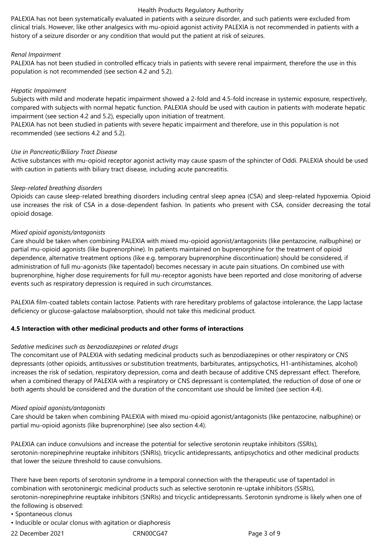### Health Products Regulatory Authority

PALEXIA has not been systematically evaluated in patients with a seizure disorder, and such patients were excluded from clinical trials. However, like other analgesics with mu-opioid agonist activity PALEXIA is not recommended in patients with a history of a seizure disorder or any condition that would put the patient at risk of seizures.

### *Renal Impairment*

PALEXIA has not been studied in controlled efficacy trials in patients with severe renal impairment, therefore the use in this population is not recommended (see section 4.2 and 5.2).

### *Hepatic Impairment*

Subjects with mild and moderate hepatic impairment showed a 2-fold and 4.5-fold increase in systemic exposure, respectively, compared with subjects with normal hepatic function. PALEXIA should be used with caution in patients with moderate hepatic impairment (see section 4.2 and 5.2), especially upon initiation of treatment.

PALEXIA has not been studied in patients with severe hepatic impairment and therefore, use in this population is not recommended (see sections 4.2 and 5.2).

### *Use in Pancreatic/Biliary Tract Disease*

Active substances with mu-opioid receptor agonist activity may cause spasm of the sphincter of Oddi. PALEXIA should be used with caution in patients with biliary tract disease, including acute pancreatitis.

### *Sleep-related breathing disorders*

Opioids can cause sleep-related breathing disorders including central sleep apnea (CSA) and sleep-related hypoxemia. Opioid use increases the risk of CSA in a dose-dependent fashion. In patients who present with CSA, consider decreasing the total opioid dosage.

### *Mixed opioid agonists/antagonists*

Care should be taken when combining PALEXIA with mixed mu-opioid agonist/antagonists (like pentazocine, nalbuphine) or partial mu-opioid agonists (like buprenorphine). In patients maintained on buprenorphine for the treatment of opioid dependence, alternative treatment options (like e.g. temporary buprenorphine discontinuation) should be considered, if administration of full mu-agonists (like tapentadol) becomes necessary in acute pain situations. On combined use with buprenorphine, higher dose requirements for full mu-receptor agonists have been reported and close monitoring of adverse events such as respiratory depression is required in such circumstances.

PALEXIA film-coated tablets contain lactose. Patients with rare hereditary problems of galactose intolerance, the Lapp lactase deficiency or glucose-galactose malabsorption, should not take this medicinal product.

# **4.5 Interaction with other medicinal products and other forms of interactions**

### *Sedative medicines such as benzodiazepines or related drugs*

The concomitant use of PALEXIA with sedating medicinal products such as benzodiazepines or other respiratory or CNS depressants (other opioids, antitussives or substitution treatments, barbiturates, antipsychotics, H1-antihistamines, alcohol) increases the risk of sedation, respiratory depression, coma and death because of additive CNS depressant effect. Therefore, when a combined therapy of PALEXIA with a respiratory or CNS depressant is contemplated, the reduction of dose of one or both agents should be considered and the duration of the concomitant use should be limited (see section 4.4).

### *Mixed opioid agonists/antagonists*

Care should be taken when combining PALEXIA with mixed mu-opioid agonist/antagonists (like pentazocine, nalbuphine) or partial mu-opioid agonists (like buprenorphine) (see also section 4.4).

PALEXIA can induce convulsions and increase the potential for selective serotonin reuptake inhibitors (SSRIs), serotonin-norepinephrine reuptake inhibitors (SNRIs), tricyclic antidepressants, antipsychotics and other medicinal products that lower the seizure threshold to cause convulsions.

There have been reports of serotonin syndrome in a temporal connection with the therapeutic use of tapentadol in combination with serotoninergic medicinal products such as selective serotonin re-uptake inhibitors (SSRIs), serotonin-norepinephrine reuptake inhibitors (SNRIs) and tricyclic antidepressants. Serotonin syndrome is likely when one of the following is observed:

- Spontaneous clonus
- Inducible or ocular clonus with agitation or diaphoresis

22 December 2021 CRN00CG47 Page 3 of 9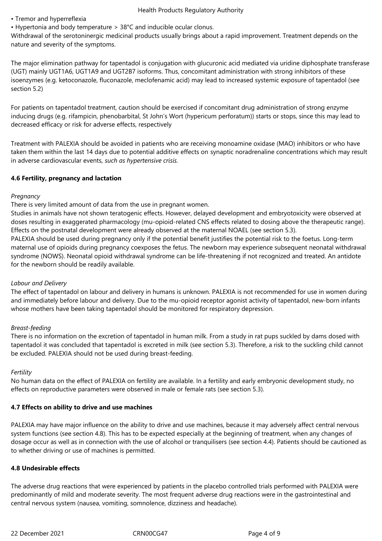- Tremor and hyperreflexia
- Hypertonia and body temperature > 38°C and inducible ocular clonus.

Withdrawal of the serotoninergic medicinal products usually brings about a rapid improvement. Treatment depends on the nature and severity of the symptoms.

The major elimination pathway for tapentadol is conjugation with glucuronic acid mediated via uridine diphosphate transferase (UGT) mainly UGT1A6, UGT1A9 and UGT2B7 isoforms. Thus, concomitant administration with strong inhibitors of these isoenzymes (e.g. ketoconazole, fluconazole, meclofenamic acid) may lead to increased systemic exposure of tapentadol (see section 5.2)

For patients on tapentadol treatment, caution should be exercised if concomitant drug administration of strong enzyme inducing drugs (e.g. rifampicin, phenobarbital, St John's Wort (hypericum perforatum)) starts or stops, since this may lead to decreased efficacy or risk for adverse effects, respectively

Treatment with PALEXIA should be avoided in patients who are receiving monoamine oxidase (MAO) inhibitors or who have taken them within the last 14 days due to potential additive effects on synaptic noradrenaline concentrations which may result in adverse cardiovascular events, *such as hypertensive crisis.*

# **4.6 Fertility, pregnancy and lactation**

# *Pregnancy*

There is very limited amount of data from the use in pregnant women.

Studies in animals have not shown teratogenic effects. However, delayed development and embryotoxicity were observed at doses resulting in exaggerated pharmacology (mu-opioid-related CNS effects related to dosing above the therapeutic range). Effects on the postnatal development were already observed at the maternal NOAEL (see section 5.3).

PALEXIA should be used during pregnancy only if the potential benefit justifies the potential risk to the foetus. Long-term maternal use of opioids during pregnancy coexposes the fetus. The newborn may experience subsequent neonatal withdrawal syndrome (NOWS). Neonatal opioid withdrawal syndrome can be life-threatening if not recognized and treated. An antidote for the newborn should be readily available.

# *Labour and Delivery*

The effect of tapentadol on labour and delivery in humans is unknown. PALEXIA is not recommended for use in women during and immediately before labour and delivery. Due to the mu-opioid receptor agonist activity of tapentadol, new-born infants whose mothers have been taking tapentadol should be monitored for respiratory depression.

# *Breast-feeding*

There is no information on the excretion of tapentadol in human milk. From a study in rat pups suckled by dams dosed with tapentadol it was concluded that tapentadol is excreted in milk (see section 5.3). Therefore, a risk to the suckling child cannot be excluded. PALEXIA should not be used during breast-feeding.

# *Fertility*

No human data on the effect of PALEXIA on fertility are available. In a fertility and early embryonic development study, no effects on reproductive parameters were observed in male or female rats (see section 5.3).

# **4.7 Effects on ability to drive and use machines**

PALEXIA may have major influence on the ability to drive and use machines, because it may adversely affect central nervous system functions (see section 4.8). This has to be expected especially at the beginning of treatment, when any changes of dosage occur as well as in connection with the use of alcohol or tranquilisers (see section 4.4). Patients should be cautioned as to whether driving or use of machines is permitted.

# **4.8 Undesirable effects**

The adverse drug reactions that were experienced by patients in the placebo controlled trials performed with PALEXIA were predominantly of mild and moderate severity. The most frequent adverse drug reactions were in the gastrointestinal and central nervous system (nausea, vomiting, somnolence, dizziness and headache).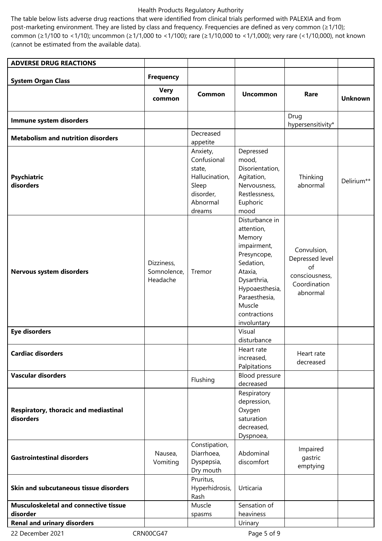### Health Products Regulatory Authority

The table below lists adverse drug reactions that were identified from clinical trials performed with PALEXIA and from post-marketing environment. They are listed by class and frequency. Frequencies are defined as very common (≥1/10); common (≥1/100 to <1/10); uncommon (≥1/1,000 to <1/100); rare (≥1/10,000 to <1/1,000); very rare (<1/10,000), not known (cannot be estimated from the available data).

| <b>ADVERSE DRUG REACTIONS</b>                            |                                       |                                                                                                 |                                                                                                                                                                                         |                                                                                    |                |
|----------------------------------------------------------|---------------------------------------|-------------------------------------------------------------------------------------------------|-----------------------------------------------------------------------------------------------------------------------------------------------------------------------------------------|------------------------------------------------------------------------------------|----------------|
|                                                          | <b>Frequency</b>                      |                                                                                                 |                                                                                                                                                                                         |                                                                                    |                |
| <b>System Organ Class</b>                                | <b>Very</b>                           |                                                                                                 |                                                                                                                                                                                         |                                                                                    |                |
|                                                          | common                                | <b>Common</b>                                                                                   | <b>Uncommon</b>                                                                                                                                                                         | Rare                                                                               | <b>Unknown</b> |
|                                                          |                                       |                                                                                                 |                                                                                                                                                                                         |                                                                                    |                |
| Immune system disorders                                  |                                       |                                                                                                 |                                                                                                                                                                                         | Drug<br>hypersensitivity*                                                          |                |
| <b>Metabolism and nutrition disorders</b>                |                                       | Decreased<br>appetite                                                                           |                                                                                                                                                                                         |                                                                                    |                |
| Psychiatric<br>disorders                                 |                                       | Anxiety,<br>Confusional<br>state,<br>Hallucination,<br>Sleep<br>disorder,<br>Abnormal<br>dreams | Depressed<br>mood,<br>Disorientation,<br>Agitation,<br>Nervousness,<br>Restlessness,<br>Euphoric<br>mood                                                                                | Thinking<br>abnormal                                                               | Delirium**     |
| Nervous system disorders                                 | Dizziness,<br>Somnolence,<br>Headache | Tremor                                                                                          | Disturbance in<br>attention,<br>Memory<br>impairment,<br>Presyncope,<br>Sedation,<br>Ataxia,<br>Dysarthria,<br>Hypoaesthesia,<br>Paraesthesia,<br>Muscle<br>contractions<br>involuntary | Convulsion,<br>Depressed level<br>of<br>consciousness,<br>Coordination<br>abnormal |                |
| <b>Eye disorders</b>                                     |                                       |                                                                                                 | Visual<br>disturbance                                                                                                                                                                   |                                                                                    |                |
| <b>Cardiac disorders</b>                                 |                                       |                                                                                                 | Heart rate<br>increased,<br>Palpitations                                                                                                                                                | Heart rate<br>decreased                                                            |                |
| <b>Vascular disorders</b>                                |                                       | Flushing                                                                                        | Blood pressure<br>decreased                                                                                                                                                             |                                                                                    |                |
| Respiratory, thoracic and mediastinal<br>disorders       |                                       |                                                                                                 | Respiratory<br>depression,<br>Oxygen<br>saturation<br>decreased,<br>Dyspnoea,                                                                                                           |                                                                                    |                |
| <b>Gastrointestinal disorders</b>                        | Nausea,<br>Vomiting                   | Constipation,<br>Diarrhoea,<br>Dyspepsia,<br>Dry mouth                                          | Abdominal<br>discomfort                                                                                                                                                                 | Impaired<br>gastric<br>emptying                                                    |                |
| Skin and subcutaneous tissue disorders                   |                                       | Pruritus,<br>Hyperhidrosis,<br>Rash                                                             | Urticaria                                                                                                                                                                               |                                                                                    |                |
| <b>Musculoskeletal and connective tissue</b><br>disorder |                                       | Muscle<br>spasms                                                                                | Sensation of<br>heaviness                                                                                                                                                               |                                                                                    |                |
| <b>Renal and urinary disorders</b>                       |                                       |                                                                                                 | Urinary                                                                                                                                                                                 |                                                                                    |                |
| 22 December 2021                                         | CRN00CG47                             |                                                                                                 | Page 5 of 9                                                                                                                                                                             |                                                                                    |                |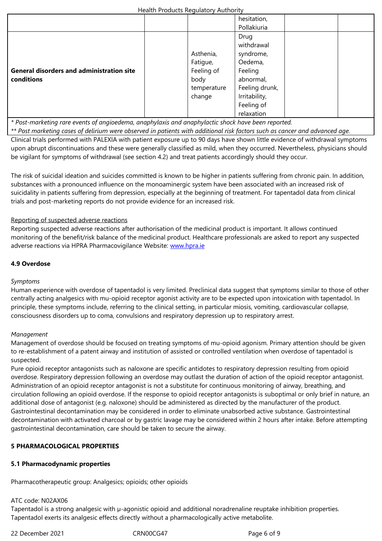|                                                  |             | Drug           |  |  |
|--------------------------------------------------|-------------|----------------|--|--|
|                                                  |             | withdrawal     |  |  |
|                                                  | Asthenia,   | syndrome,      |  |  |
|                                                  | Fatigue,    | Oedema,        |  |  |
| <b>General disorders and administration site</b> | Feeling of  | Feeling        |  |  |
| conditions                                       | body        | abnormal,      |  |  |
|                                                  | temperature | Feeling drunk, |  |  |
|                                                  | change      | Irritability,  |  |  |
|                                                  |             | Feeling of     |  |  |
|                                                  |             | relaxation     |  |  |

*\* Post-marketing rare events of angioedema, anaphylaxis and anaphylactic shock have been reported.*

*\*\* Post marketing cases of delirium were observed in patients with additional risk factors such as cancer and advanced age.*  Clinical trials performed with PALEXIA with patient exposure up to 90 days have shown little evidence of withdrawal symptoms

upon abrupt discontinuations and these were generally classified as mild, when they occurred. Nevertheless, physicians should be vigilant for symptoms of withdrawal (see section 4.2) and treat patients accordingly should they occur.

The risk of suicidal ideation and suicides committed is known to be higher in patients suffering from chronic pain. In addition, substances with a pronounced influence on the monoaminergic system have been associated with an increased risk of suicidality in patients suffering from depression, especially at the beginning of treatment. For tapentadol data from clinical trials and post-marketing reports do not provide evidence for an increased risk.

# Reporting of suspected adverse reactions

Reporting suspected adverse reactions after authorisation of the medicinal product is important. It allows continued monitoring of the benefit/risk balance of the medicinal product. Healthcare professionals are asked to report any suspected adverse reactions via HPRA Pharmacovigilance Website: www.hpra.ie

# **4.9 Overdose**

# *Symptoms*

Human experience with overdose of tapentadol is very limited. Preclinical data suggest that symptoms similar to those of other centrally acting analgesics with mu-opioid receptor agonist activity are to be expected upon intoxication with tapentadol. In principle, these symptoms include, referring to the clinical setting, in particular miosis, vomiting, cardiovascular collapse, consciousness disorders up to coma, convulsions and respiratory depression up to respiratory arrest.

# *Management*

Management of overdose should be focused on treating symptoms of mu-opioid agonism. Primary attention should be given to re-establishment of a patent airway and institution of assisted or controlled ventilation when overdose of tapentadol is suspected.

Pure opioid receptor antagonists such as naloxone are specific antidotes to respiratory depression resulting from opioid overdose. Respiratory depression following an overdose may outlast the duration of action of the opioid receptor antagonist. Administration of an opioid receptor antagonist is not a substitute for continuous monitoring of airway, breathing, and circulation following an opioid overdose. If the response to opioid receptor antagonists is suboptimal or only brief in nature, an additional dose of antagonist (e.g. naloxone) should be administered as directed by the manufacturer of the product. Gastrointestinal decontamination may be considered in order to eliminate unabsorbed active substance. Gastrointestinal decontamination with activated charcoal or by gastric lavage may be considered within 2 hours after intake. Before attempting gastrointestinal decontamination, care should be taken to secure the airway.

# **5 PHARMACOLOGICAL PROPERTIES**

# **5.1 Pharmacodynamic properties**

Pharmacotherapeutic group: Analgesics; opioids; other opioids

# ATC code: N02AX06

Tapentadol is a strong analgesic with  $\mu$ -agonistic opioid and additional noradrenaline reuptake inhibition properties. Tapentadol exerts its analgesic effects directly without a pharmacologically active metabolite.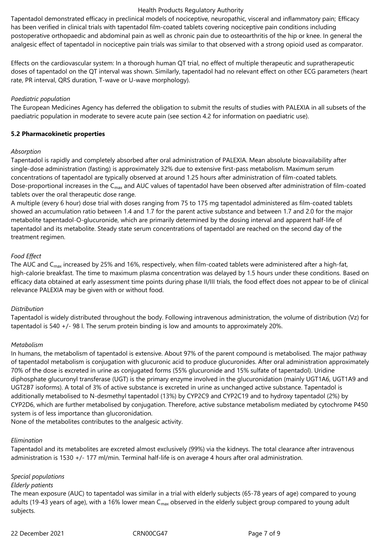#### Health Products Regulatory Authority

Tapentadol demonstrated efficacy in preclinical models of nociceptive, neuropathic, visceral and inflammatory pain; Efficacy has been verified in clinical trials with tapentadol film-coated tablets covering nociceptive pain conditions including postoperative orthopaedic and abdominal pain as well as chronic pain due to osteoarthritis of the hip or knee. In general the analgesic effect of tapentadol in nociceptive pain trials was similar to that observed with a strong opioid used as comparator.

Effects on the cardiovascular system: In a thorough human QT trial, no effect of multiple therapeutic and supratherapeutic doses of tapentadol on the QT interval was shown. Similarly, tapentadol had no relevant effect on other ECG parameters (heart rate, PR interval, QRS duration, T-wave or U-wave morphology).

### *Paediatric population*

The European Medicines Agency has deferred the obligation to submit the results of studies with PALEXIA in all subsets of the paediatric population in moderate to severe acute pain (see section 4.2 for information on paediatric use).

#### **5.2 Pharmacokinetic properties**

#### *Absorption*

Tapentadol is rapidly and completely absorbed after oral administration of PALEXIA. Mean absolute bioavailability after single-dose administration (fasting) is approximately 32% due to extensive first-pass metabolism. Maximum serum concentrations of tapentadol are typically observed at around 1.25 hours after administration of film-coated tablets. Dose-proportional increases in the  $C_{\text{max}}$  and AUC values of tapentadol have been observed after administration of film-coated tablets over the oral therapeutic dose range.

A multiple (every 6 hour) dose trial with doses ranging from 75 to 175 mg tapentadol administered as film-coated tablets showed an accumulation ratio between 1.4 and 1.7 for the parent active substance and between 1.7 and 2.0 for the major metabolite tapentadol‑O-glucuronide, which are primarily determined by the dosing interval and apparent half-life of tapentadol and its metabolite. Steady state serum concentrations of tapentadol are reached on the second day of the treatment regimen.

### *Food Effect*

The AUC and  $C_{\text{max}}$  increased by 25% and 16%, respectively, when film-coated tablets were administered after a high-fat, high-calorie breakfast. The time to maximum plasma concentration was delayed by 1.5 hours under these conditions. Based on efficacy data obtained at early assessment time points during phase II/III trials, the food effect does not appear to be of clinical relevance PALEXIA may be given with or without food.

### *Distribution*

Tapentadol is widely distributed throughout the body. Following intravenous administration, the volume of distribution (Vz) for tapentadol is 540 +/- 98 l. The serum protein binding is low and amounts to approximately 20%.

### *Metabolism*

In humans, the metabolism of tapentadol is extensive. About 97% of the parent compound is metabolised. The major pathway of tapentadol metabolism is conjugation with glucuronic acid to produce glucuronides. After oral administration approximately 70% of the dose is excreted in urine as conjugated forms (55% glucuronide and 15% sulfate of tapentadol). Uridine diphosphate glucuronyl transferase (UGT) is the primary enzyme involved in the glucuronidation (mainly UGT1A6, UGT1A9 and UGT2B7 isoforms). A total of 3% of active substance is excreted in urine as unchanged active substance. Tapentadol is additionally metabolised to N-desmethyl tapentadol (13%) by CYP2C9 and CYP2C19 and to hydroxy tapentadol (2%) by CYP2D6, which are further metabolised by conjugation. Therefore, active substance metabolism mediated by cytochrome P450 system is of less importance than glucoronidation.

None of the metabolites contributes to the analgesic activity.

### *Elimination*

Tapentadol and its metabolites are excreted almost exclusively (99%) via the kidneys. The total clearance after intravenous administration is 1530 +/- 177 ml/min. Terminal half-life is on average 4 hours after oral administration.

### *Special populations*

#### *Elderly patients*

The mean exposure (AUC) to tapentadol was similar in a trial with elderly subjects (65-78 years of age) compared to young adults (19-43 years of age), with a 16% lower mean  $C_{max}$  observed in the elderly subject group compared to young adult subjects.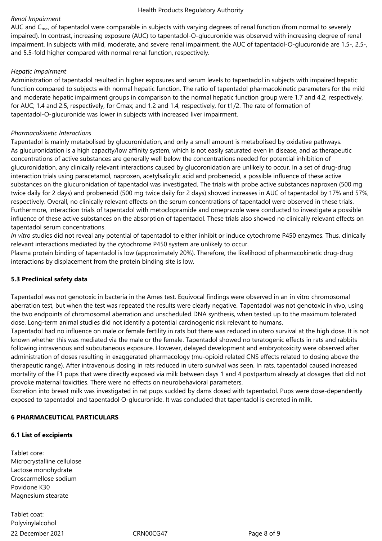### *Renal Impairment*

AUC and  $C_{\text{max}}$  of tapentadol were comparable in subjects with varying degrees of renal function (from normal to severely impaired). In contrast, increasing exposure (AUC) to tapentadol-O-glucuronide was observed with increasing degree of renal impairment. In subjects with mild, moderate, and severe renal impairment, the AUC of tapentadol-O-glucuronide are 1.5-, 2.5-, and 5.5-fold higher compared with normal renal function, respectively.

### *Hepatic Impairment*

Administration of tapentadol resulted in higher exposures and serum levels to tapentadol in subjects with impaired hepatic function compared to subjects with normal hepatic function. The ratio of tapentadol pharmacokinetic parameters for the mild and moderate hepatic impairment groups in comparison to the normal hepatic function group were 1.7 and 4.2, respectively, for AUC; 1.4 and 2.5, respectively, for Cmax; and 1.2 and 1.4, respectively, for t1/2. The rate of formation of tapentadol-O-glucuronide was lower in subjects with increased liver impairment.

### *Pharmacokinetic Interactions*

Tapentadol is mainly metabolised by glucuronidation, and only a small amount is metabolised by oxidative pathways. As glucuronidation is a high capacity/low affinity system, which is not easily saturated even in disease, and as therapeutic concentrations of active substances are generally well below the concentrations needed for potential inhibition of glucuronidation, any clinically relevant interactions caused by glucoronidation are unlikely to occur. In a set of drug-drug interaction trials using paracetamol, naproxen, acetylsalicylic acid and probenecid, a possible influence of these active substances on the glucuronidation of tapentadol was investigated. The trials with probe active substances naproxen (500 mg twice daily for 2 days) and probenecid (500 mg twice daily for 2 days) showed increases in AUC of tapentadol by 17% and 57%, respectively. Overall, no clinically relevant effects on the serum concentrations of tapentadol were observed in these trials. Furthermore, interaction trials of tapentadol with metoclopramide and omeprazole were conducted to investigate a possible influence of these active substances on the absorption of tapentadol. These trials also showed no clinically relevant effects on tapentadol serum concentrations.

*In vitro* studies did not reveal any potential of tapentadol to either inhibit or induce cytochrome P450 enzymes. Thus, clinically relevant interactions mediated by the cytochrome P450 system are unlikely to occur.

Plasma protein binding of tapentadol is low (approximately 20%). Therefore, the likelihood of pharmacokinetic drug-drug interactions by displacement from the protein binding site is low.

# **5.3 Preclinical safety data**

Tapentadol was not genotoxic in bacteria in the Ames test. Equivocal findings were observed in an in vitro chromosomal aberration test, but when the test was repeated the results were clearly negative. Tapentadol was not genotoxic in vivo, using the two endpoints of chromosomal aberration and unscheduled DNA synthesis, when tested up to the maximum tolerated dose. Long-term animal studies did not identify a potential carcinogenic risk relevant to humans.

Tapentadol had no influence on male or female fertility in rats but there was reduced in utero survival at the high dose. It is not known whether this was mediated via the male or the female. Tapentadol showed no teratogenic effects in rats and rabbits following intravenous and subcutaneous exposure. However, delayed development and embryotoxicity were observed after administration of doses resulting in exaggerated pharmacology (mu-opioid related CNS effects related to dosing above the therapeutic range). After intravenous dosing in rats reduced in utero survival was seen. In rats, tapentadol caused increased mortality of the F1 pups that were directly exposed via milk between days 1 and 4 postpartum already at dosages that did not provoke maternal toxicities. There were no effects on neurobehavioral parameters.

Excretion into breast milk was investigated in rat pups suckled by dams dosed with tapentadol. Pups were dose-dependently exposed to tapentadol and tapentadol O-glucuronide. It was concluded that tapentadol is excreted in milk.

# **6 PHARMACEUTICAL PARTICULARS**

### **6.1 List of excipients**

Tablet core: Microcrystalline cellulose Lactose monohydrate Croscarmellose sodium Povidone K30 Magnesium stearate

22 December 2021 CRN00CG47 Page 8 of 9 Tablet coat: Polyvinylalcohol